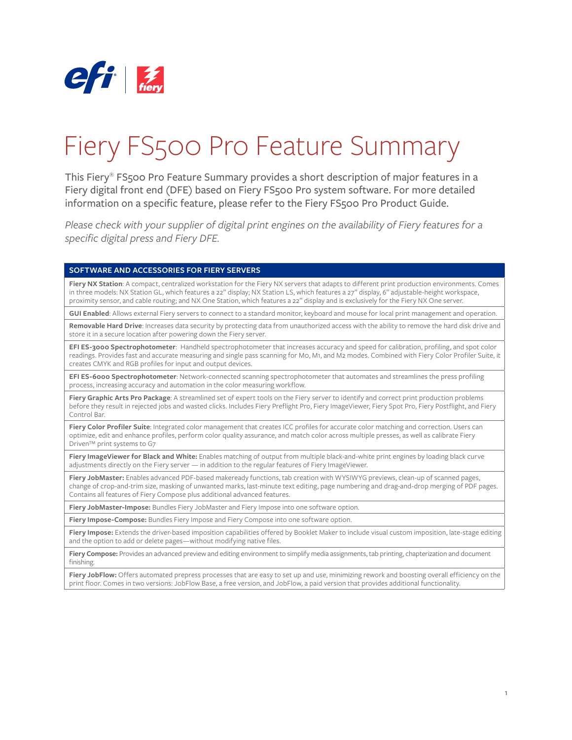

# Fiery FS500 Pro Feature Summary

This Fiery® FS500 Pro Feature Summary provides a short description of major features in a Fiery digital front end (DFE) based on Fiery FS500 Pro system software. For more detailed information on a specific feature, please refer to the Fiery FS500 Pro Product Guide.

*Please check with your supplier of digital print engines on the availability of Fiery features for a specific digital press and Fiery DFE.* 

#### **SOFTWARE AND ACCESSORIES FOR FIERY SERVERS**

Fiery NX Station: A compact, centralized workstation for the Fiery NX servers that adapts to different print production environments. Comes in three models: NX Station GL, which features a 22" display; NX Station LS, which features a 27" display, 6" adjustable-height workspace, proximity sensor, and cable routing; and NX One Station, which features a 22" display and is exclusively for the Fiery NX One server.

**GUI Enabled**: Allows external Fiery servers to connect to a standard monitor, keyboard and mouse for local print management and operation.

**Removable Hard Drive**: Increases data security by protecting data from unauthorized access with the ability to remove the hard disk drive and store it in a secure location after powering down the Fiery server.

**EFI ES-3000 Spectrophotometer**: Handheld spectrophotometer that increases accuracy and speed for calibration, profiling, and spot color readings. Provides fast and accurate measuring and single pass scanning for M0, M1, and M2 modes. Combined with Fiery Color Profiler Suite, it creates CMYK and RGB profiles for input and output devices.

**EFI ES-6000 Spectrophotometer**: Network-connected scanning spectrophotometer that automates and streamlines the press profiling process, increasing accuracy and automation in the color measuring workflow.

**Fiery Graphic Arts Pro Package**: A streamlined set of expert tools on the Fiery server to identify and correct print production problems before they result in rejected jobs and wasted clicks. Includes Fiery Preflight Pro, Fiery ImageViewer, Fiery Spot Pro, Fiery Postflight, and Fiery Control Bar.

Fiery Color Profiler Suite: Integrated color management that creates ICC profiles for accurate color matching and correction. Users can optimize, edit and enhance profiles, perform color quality assurance, and match color across multiple presses, as well as calibrate Fiery Driven™ print systems to G7

**Fiery ImageViewer for Black and White:** Enables matching of output from multiple black-and-white print engines by loading black curve adjustments directly on the Fiery server — in addition to the regular features of Fiery ImageViewer.

**Fiery JobMaster:** Enables advanced PDF-based makeready functions, tab creation with WYSIWYG previews, clean-up of scanned pages, change of crop-and-trim size, masking of unwanted marks, last-minute text editing, page numbering and drag-and-drop merging of PDF pages. Contains all features of Fiery Compose plus additional advanced features.

**Fiery JobMaster-Impose:** Bundles Fiery JobMaster and Fiery Impose into one software option.

**Fiery Impose-Compose:** Bundles Fiery Impose and Fiery Compose into one software option.

**Fiery Impose:** Extends the driver-based imposition capabilities offered by Booklet Maker to include visual custom imposition, late-stage editing and the option to add or delete pages—without modifying native files.

**Fiery Compose:** Provides an advanced preview and editing environment to simplify media assignments, tab printing, chapterization and document finishing.

Fiery JobFlow: Offers automated prepress processes that are easy to set up and use, minimizing rework and boosting overall efficiency on the print floor. Comes in two versions: JobFlow Base, a free version, and JobFlow, a paid version that provides additional functionality.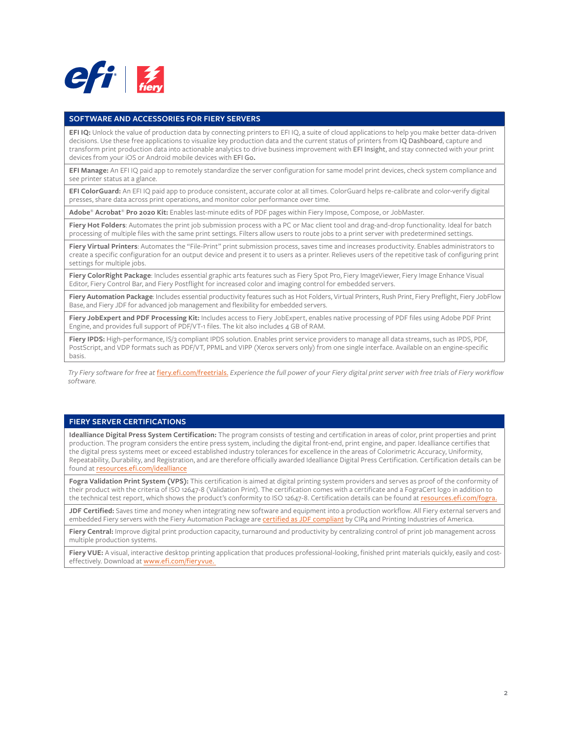

#### **SOFTWARE AND ACCESSORIES FOR FIERY SERVERS**

**EFI IQ:** Unlock the value of production data by connecting printers to EFI IQ, a suite of cloud applications to help you make better data-driven decisions. Use these free applications to visualize key production data and the current status of printers from IQ Dashboard, capture and transform print production data into actionable analytics to drive business improvement with EFI Insight, and stay connected with your print devices from your iOS or Android mobile devices with EFI Go**.** 

**EFI Manage:** An EFI IQ paid app to remotely standardize the server configuration for same model print devices, check system compliance and see printer status at a glance.

**EFI ColorGuard:** An EFI IQ paid app to produce consistent, accurate color at all times. ColorGuard helps re-calibrate and color-verify digital presses, share data across print operations, and monitor color performance over time.

**Adobe**® **Acrobat**® **Pro 2020 Kit:** Enables last-minute edits of PDF pages within Fiery Impose, Compose, or JobMaster.

**Fiery Hot Folders**: Automates the print job submission process with a PC or Mac client tool and drag-and-drop functionality. Ideal for batch processing of multiple files with the same print settings. Filters allow users to route jobs to a print server with predetermined settings.

**Fiery Virtual Printers**: Automates the "File-Print" print submission process, saves time and increases productivity. Enables administrators to create a specific configuration for an output device and present it to users as a printer. Relieves users of the repetitive task of configuring print settings for multiple jobs.

Fiery ColorRight Package: Includes essential graphic arts features such as Fiery Spot Pro, Fiery ImageViewer, Fiery Image Enhance Visual Editor, Fiery Control Bar, and Fiery Postflight for increased color and imaging control for embedded servers.

**Fiery Automation Package**: Includes essential productivity features such as Hot Folders, Virtual Printers, Rush Print, Fiery Preflight, Fiery JobFlow Base, and Fiery JDF for advanced job management and flexibility for embedded servers.

**Fiery JobExpert and PDF Processing Kit:** Includes access to Fiery JobExpert, enables native processing of PDF files using Adobe PDF Print Engine, and provides full support of PDF/VT-1 files. The kit also includes 4 GB of RAM.

**Fiery IPDS:** High-performance, IS/3 compliant IPDS solution. Enables print service providers to manage all data streams, such as IPDS, PDF, PostScript, and VDP formats such as PDF/VT, PPML and VIPP (Xerox servers only) from one single interface. Available on an engine-specific basis.

*Try Fiery software for free at* [fiery.efi.com/freetrials.](http://fiery.efi.com/freetrials) *Experience the full power of your Fiery digital print server with free trials of Fiery workflow software.*

## **FIERY SERVER CERTIFICATIONS**

**Idealliance Digital Press System Certification:** The program consists of testing and certification in areas of color, print properties and print production. The program considers the entire press system, including the digital front-end, print engine, and paper. Idealliance certifies that the digital press systems meet or exceed established industry tolerances for excellence in the areas of Colorimetric Accuracy, Uniformity, Repeatability, Durability, and Registration, and are therefore officially awarded Idealliance Digital Press Certification. Certification details can be found at [resources.efi.com/idealliance](http://resources.efi.com/idealliance)

Fogra Validation Print System (VPS): This certification is aimed at digital printing system providers and serves as proof of the conformity of their product with the criteria of ISO 12647-8 (Validation Print). The certification comes with a certificate and a FograCert logo in addition to the technical test report, which shows the product's conformity to ISO 12647-8. Certification details can be found at resources.efi.com/fogra

**JDF Certified:** Saves time and money when integrating new software and equipment into a production workflow. All Fiery external servers and embedded Fiery servers with the Fiery Automation Package are [certified as JDF compliant](https://www.printing.org/jdf-certified-products) by CIP4 and Printing Industries of America.

Fiery Central: Improve digital print production capacity, turnaround and productivity by centralizing control of print job management across multiple production systems.

**Fiery VUE:** A visual, interactive desktop printing application that produces professional-looking, finished print materials quickly, easily and costeffectively. Download at [www.efi.com/fieryvue.](http://www.efi.com/fieryvue)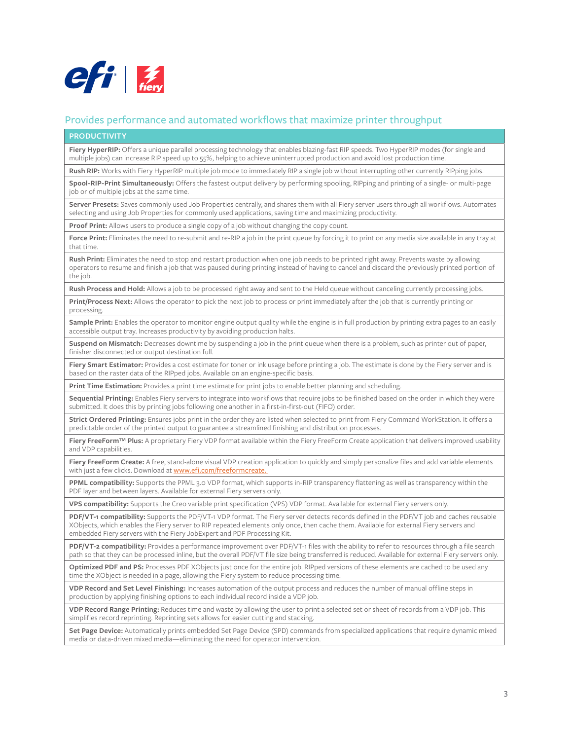

# Provides performance and automated workflows that maximize printer throughput

#### **PRODUCTIVITY**

**Fiery HyperRIP:** Offers a unique parallel processing technology that enables blazing-fast RIP speeds. Two HyperRIP modes (for single and multiple jobs) can increase RIP speed up to 55%, helping to achieve uninterrupted production and avoid lost production time.

**Rush RIP:** Works with Fiery HyperRIP multiple job mode to immediately RIP a single job without interrupting other currently RIPping jobs.

**Spool-RIP-Print Simultaneously:** Offers the fastest output delivery by performing spooling, RIPping and printing of a single- or multi-page job or of multiple jobs at the same time.

**Server Presets:** Saves commonly used Job Properties centrally, and shares them with all Fiery server users through all workflows. Automates selecting and using Job Properties for commonly used applications, saving time and maximizing productivity.

**Proof Print:** Allows users to produce a single copy of a job without changing the copy count.

Force Print: Eliminates the need to re-submit and re-RIP a job in the print queue by forcing it to print on any media size available in any tray at that time.

**Rush Print:** Eliminates the need to stop and restart production when one job needs to be printed right away. Prevents waste by allowing operators to resume and finish a job that was paused during printing instead of having to cancel and discard the previously printed portion of the job.

**Rush Process and Hold:** Allows a job to be processed right away and sent to the Held queue without canceling currently processing jobs.

**Print/Process Next:** Allows the operator to pick the next job to process or print immediately after the job that is currently printing or processing.

**Sample Print:** Enables the operator to monitor engine output quality while the engine is in full production by printing extra pages to an easily accessible output tray. Increases productivity by avoiding production halts.

**Suspend on Mismatch:** Decreases downtime by suspending a job in the print queue when there is a problem, such as printer out of paper, finisher disconnected or output destination full.

**Fiery Smart Estimator:** Provides a cost estimate for toner or ink usage before printing a job. The estimate is done by the Fiery server and is based on the raster data of the RIPped jobs. Available on an engine-specific basis.

**Print Time Estimation:** Provides a print time estimate for print jobs to enable better planning and scheduling.

**Sequential Printing:** Enables Fiery servers to integrate into workflows that require jobs to be finished based on the order in which they were submitted. It does this by printing jobs following one another in a first-in-first-out (FIFO) order.

**Strict Ordered Printing:** Ensures jobs print in the order they are listed when selected to print from Fiery Command WorkStation. It offers a predictable order of the printed output to guarantee a streamlined finishing and distribution processes.

**Fiery FreeForm™ Plus:** A proprietary Fiery VDP format available within the Fiery FreeForm Create application that delivers improved usability and VDP capabilities.

**Fiery FreeForm Create:** A free, stand-alone visual VDP creation application to quickly and simply personalize files and add variable elements with just a few clicks. Download at [www.efi.com/f](http://www.efi.com/freeformcreate)reeformcreate.

**PPML compatibility:** Supports the PPML 3.0 VDP format, which supports in-RIP transparency flattening as well as transparency within the PDF layer and between layers. Available for external Fiery servers only.

**VPS compatibility:** Supports the Creo variable print specification (VPS) VDP format. Available for external Fiery servers only.

**PDF/VT-1 compatibility:** Supports the PDF/VT-1 VDP format. The Fiery server detects records defined in the PDF/VT job and caches reusable XObjects, which enables the Fiery server to RIP repeated elements only once, then cache them. Available for external Fiery servers and embedded Fiery servers with the Fiery JobExpert and PDF Processing Kit.

**PDF/VT-2 compatibility:** Provides a performance improvement over PDF/VT-1 files with the ability to refer to resources through a file search path so that they can be processed inline, but the overall PDF/VT file size being transferred is reduced. Available for external Fiery servers only.

**Optimized PDF and PS:** Processes PDF XObjects just once for the entire job. RIPped versions of these elements are cached to be used any time the XObject is needed in a page, allowing the Fiery system to reduce processing time.

**VDP Record and Set Level Finishing:** Increases automation of the output process and reduces the number of manual offline steps in production by applying finishing options to each individual record inside a VDP job.

**VDP Record Range Printing:** Reduces time and waste by allowing the user to print a selected set or sheet of records from a VDP job. This simplifies record reprinting. Reprinting sets allows for easier cutting and stacking.

**Set Page Device:** Automatically prints embedded Set Page Device (SPD) commands from specialized applications that require dynamic mixed media or data-driven mixed media—eliminating the need for operator intervention.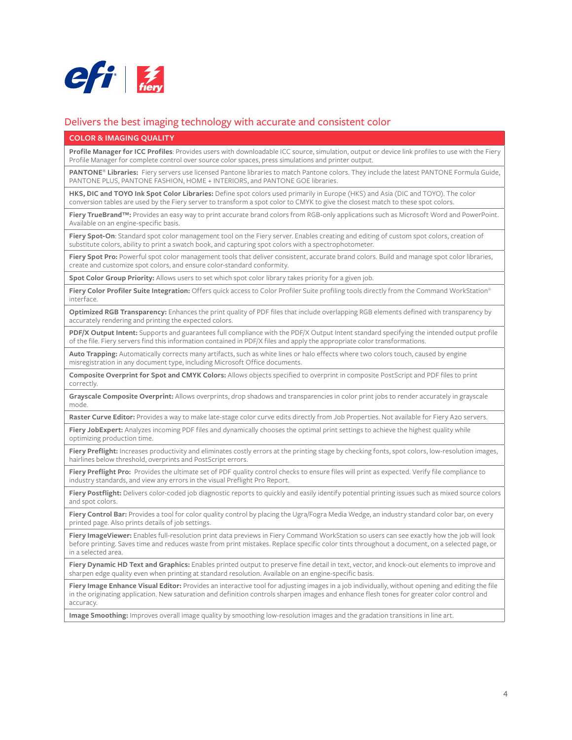

## Delivers the best imaging technology with accurate and consistent color

#### **COLOR & IMAGING QUALITY**

**Profile Manager for ICC Profiles**: Provides users with downloadable ICC source, simulation, output or device link profiles to use with the Fiery Profile Manager for complete control over source color spaces, press simulations and printer output.

**PANTONE® Libraries:** Fiery servers use licensed Pantone libraries to match Pantone colors. They include the latest PANTONE Formula Guide, PANTONE PLUS, PANTONE FASHION, HOME + INTERIORS, and PANTONE GOE libraries.

**HKS, DIC and TOYO Ink Spot Color Libraries:** Define spot colors used primarily in Europe (HKS) and Asia (DIC and TOYO). The color conversion tables are used by the Fiery server to transform a spot color to CMYK to give the closest match to these spot colors.

**Fiery TrueBrand™:** Provides an easy way to print accurate brand colors from RGB-only applications such as Microsoft Word and PowerPoint. Available on an engine-specific basis.

Fiery Spot-On: Standard spot color management tool on the Fiery server. Enables creating and editing of custom spot colors, creation of substitute colors, ability to print a swatch book, and capturing spot colors with a spectrophotometer.

Fiery Spot Pro: Powerful spot color management tools that deliver consistent, accurate brand colors. Build and manage spot color libraries, create and customize spot colors, and ensure color-standard conformity.

**Spot Color Group Priority:** Allows users to set which spot color library takes priority for a given job.

**Fiery Color Profiler Suite Integration:** Offers quick access to Color Profiler Suite profiling tools directly from the Command WorkStation® interface.

**Optimized RGB Transparency:** Enhances the print quality of PDF files that include overlapping RGB elements defined with transparency by accurately rendering and printing the expected colors.

**PDF/X Output Intent:** Supports and guarantees full compliance with the PDF/X Output Intent standard specifying the intended output profile of the file. Fiery servers find this information contained in PDF/X files and apply the appropriate color transformations.

**Auto Trapping:** Automatically corrects many artifacts, such as white lines or halo effects where two colors touch, caused by engine misregistration in any document type, including Microsoft Office documents.

**Composite Overprint for Spot and CMYK Colors:** Allows objects specified to overprint in composite PostScript and PDF files to print correctly.

**Grayscale Composite Overprint:** Allows overprints, drop shadows and transparencies in color print jobs to render accurately in grayscale mode.

Raster Curve Editor: Provides a way to make late-stage color curve edits directly from Job Properties. Not available for Fiery A20 servers.

**Fiery JobExpert:** Analyzes incoming PDF files and dynamically chooses the optimal print settings to achieve the highest quality while optimizing production time.

Fiery Preflight: Increases productivity and eliminates costly errors at the printing stage by checking fonts, spot colors, low-resolution images, hairlines below threshold, overprints and PostScript errors.

**Fiery Preflight Pro:** Provides the ultimate set of PDF quality control checks to ensure files will print as expected. Verify file compliance to industry standards, and view any errors in the visual Preflight Pro Report.

**Fiery Postflight:** Delivers color-coded job diagnostic reports to quickly and easily identify potential printing issues such as mixed source colors and spot colors.

Fiery Control Bar: Provides a tool for color quality control by placing the Ugra/Fogra Media Wedge, an industry standard color bar, on every printed page. Also prints details of job settings.

Fiery ImageViewer: Enables full-resolution print data previews in Fiery Command WorkStation so users can see exactly how the job will look before printing. Saves time and reduces waste from print mistakes. Replace specific color tints throughout a document, on a selected page, or in a selected area.

Fiery Dynamic HD Text and Graphics: Enables printed output to preserve fine detail in text, vector, and knock-out elements to improve and sharpen edge quality even when printing at standard resolution. Available on an engine-specific basis.

**Fiery Image Enhance Visual Editor:** Provides an interactive tool for adjusting images in a job individually, without opening and editing the file in the originating application. New saturation and definition controls sharpen images and enhance flesh tones for greater color control and accuracy.

**Image Smoothing:** Improves overall image quality by smoothing low-resolution images and the gradation transitions in line art.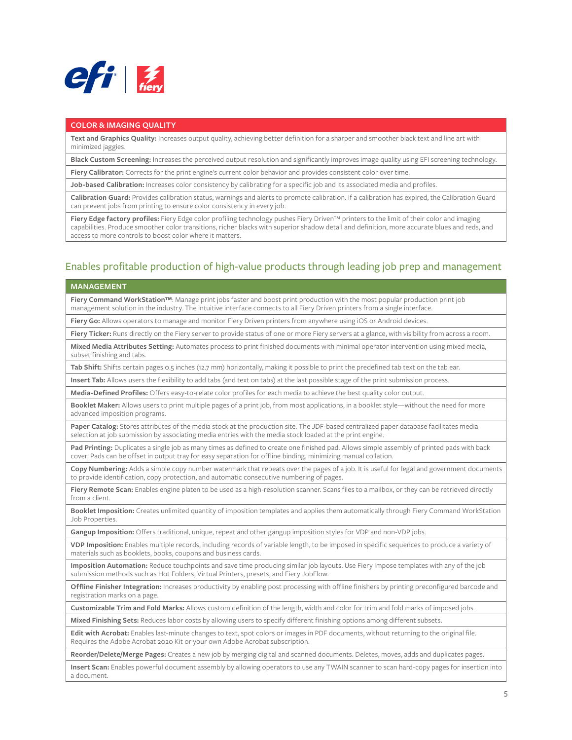

#### **COLOR & IMAGING QUALITY**

**Text and Graphics Quality:** Increases output quality, achieving better definition for a sharper and smoother black text and line art with minimized jaggies.

**Black Custom Screening:** Increases the perceived output resolution and significantly improves image quality using EFI screening technology.

**Fiery Calibrator:** Corrects for the print engine's current color behavior and provides consistent color over time.

**Job-based Calibration:** Increases color consistency by calibrating for a specific job and its associated media and profiles.

**Calibration Guard:** Provides calibration status, warnings and alerts to promote calibration. If a calibration has expired, the Calibration Guard can prevent jobs from printing to ensure color consistency in every job.

**Fiery Edge factory profiles:** Fiery Edge color profiling technology pushes Fiery Driven™ printers to the limit of their color and imaging capabilities. Produce smoother color transitions, richer blacks with superior shadow detail and definition, more accurate blues and reds, and access to more controls to boost color where it matters.

## Enables profitable production of high-value products through leading job prep and management

#### **MANAGEMENT**

**Fiery Command WorkStation™**: Manage print jobs faster and boost print production with the most popular production print job management solution in the industry. The intuitive interface connects to all Fiery Driven printers from a single interface.

**Fiery Go:** Allows operators to manage and monitor Fiery Driven printers from anywhere using iOS or Android devices.

**Fiery Ticker:** Runs directly on the Fiery server to provide status of one or more Fiery servers at a glance, with visibility from across a room.

**Mixed Media Attributes Setting:** Automates process to print finished documents with minimal operator intervention using mixed media, subset finishing and tabs.

**Tab Shift:** Shifts certain pages 0.5 inches (12.7 mm) horizontally, making it possible to print the predefined tab text on the tab ear.

**Insert Tab:** Allows users the flexibility to add tabs (and text on tabs) at the last possible stage of the print submission process.

**Media-Defined Profiles:** Offers easy-to-relate color profiles for each media to achieve the best quality color output.

**Booklet Maker:** Allows users to print multiple pages of a print job, from most applications, in a booklet style—without the need for more advanced imposition programs.

**Paper Catalog:** Stores attributes of the media stock at the production site. The JDF-based centralized paper database facilitates media selection at job submission by associating media entries with the media stock loaded at the print engine.

**Pad Printing:** Duplicates a single job as many times as defined to create one finished pad. Allows simple assembly of printed pads with back cover. Pads can be offset in output tray for easy separation for offline binding, minimizing manual collation.

**Copy Numbering:** Adds a simple copy number watermark that repeats over the pages of a job. It is useful for legal and government documents to provide identification, copy protection, and automatic consecutive numbering of pages.

Fiery Remote Scan: Enables engine platen to be used as a high-resolution scanner. Scans files to a mailbox, or they can be retrieved directly from a client.

**Booklet Imposition:** Creates unlimited quantity of imposition templates and applies them automatically through Fiery Command WorkStation Job Properties.

**Gangup Imposition:** Offers traditional, unique, repeat and other gangup imposition styles for VDP and non-VDP jobs.

**VDP Imposition:** Enables multiple records, including records of variable length, to be imposed in specific sequences to produce a variety of materials such as booklets, books, coupons and business cards.

**Imposition Automation:** Reduce touchpoints and save time producing similar job layouts. Use Fiery Impose templates with any of the job submission methods such as Hot Folders, Virtual Printers, presets, and Fiery JobFlow.

**Offline Finisher Integration:** Increases productivity by enabling post processing with offline finishers by printing preconfigured barcode and registration marks on a page.

**Customizable Trim and Fold Marks:** Allows custom definition of the length, width and color for trim and fold marks of imposed jobs.

**Mixed Finishing Sets:** Reduces labor costs by allowing users to specify different finishing options among different subsets.

**Edit with Acrobat:** Enables last-minute changes to text, spot colors or images in PDF documents, without returning to the original file. Requires the Adobe Acrobat 2020 Kit or your own Adobe Acrobat subscription.

**Reorder/Delete/Merge Pages:** Creates a new job by merging digital and scanned documents. Deletes, moves, adds and duplicates pages.

**Insert Scan:** Enables powerful document assembly by allowing operators to use any TWAIN scanner to scan hard-copy pages for insertion into a document.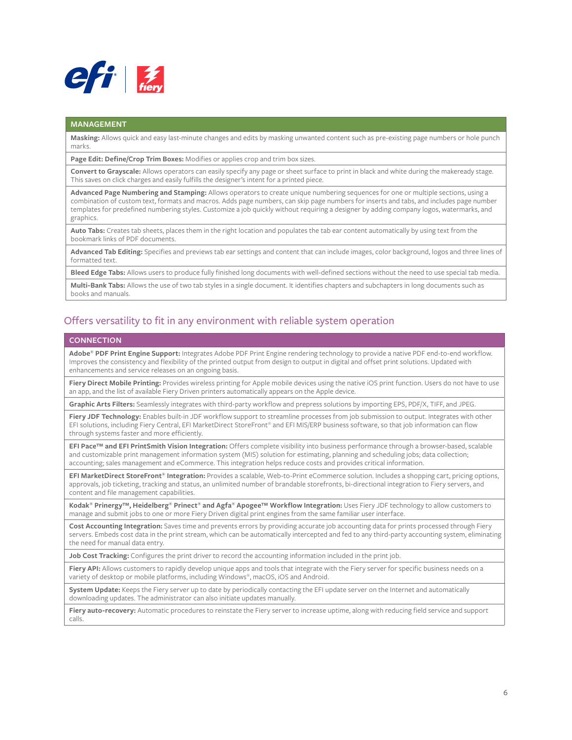

#### **MANAGEMENT**

**Masking:** Allows quick and easy last-minute changes and edits by masking unwanted content such as pre-existing page numbers or hole punch marks.

**Page Edit: Define/Crop Trim Boxes:** Modifies or applies crop and trim box sizes.

**Convert to Grayscale:** Allows operators can easily specify any page or sheet surface to print in black and white during the makeready stage. This saves on click charges and easily fulfills the designer's intent for a printed piece.

**Advanced Page Numbering and Stamping:** Allows operators to create unique numbering sequences for one or multiple sections, using a combination of custom text, formats and macros. Adds page numbers, can skip page numbers for inserts and tabs, and includes page number templates for predefined numbering styles. Customize a job quickly without requiring a designer by adding company logos, watermarks, and graphics.

**Auto Tabs:** Creates tab sheets, places them in the right location and populates the tab ear content automatically by using text from the bookmark links of PDF documents.

**Advanced Tab Editing:** Specifies and previews tab ear settings and content that can include images, color background, logos and three lines of formatted text.

**Bleed Edge Tabs:** Allows users to produce fully finished long documents with well-defined sections without the need to use special tab media.

**Multi-Bank Tabs:** Allows the use of two tab styles in a single document. It identifies chapters and subchapters in long documents such as books and manuals.

# Offers versatility to fit in any environment with reliable system operation

## **CONNECTION**

**Adobe® PDF Print Engine Support:** Integrates Adobe PDF Print Engine rendering technology to provide a native PDF end-to-end workflow. Improves the consistency and flexibility of the printed output from design to output in digital and offset print solutions. Updated with enhancements and service releases on an ongoing basis.

Fiery Direct Mobile Printing: Provides wireless printing for Apple mobile devices using the native iOS print function. Users do not have to use an app, and the list of available Fiery Driven printers automatically appears on the Apple device.

**Graphic Arts Filters:** Seamlessly integrates with third-party workflow and prepress solutions by importing EPS, PDF/X, TIFF, and JPEG.

**Fiery JDF Technology:** Enables built-in JDF workflow support to streamline processes from job submission to output. Integrates with other EFI solutions, including Fiery Central, EFI MarketDirect StoreFront® and EFI MIS/ERP business software, so that job information can flow through systems faster and more efficiently.

**EFI Pace™ and EFI PrintSmith Vision Integration:** Offers complete visibility into business performance through a browser-based, scalable and customizable print management information system (MIS) solution for estimating, planning and scheduling jobs; data collection; accounting; sales management and eCommerce. This integration helps reduce costs and provides critical information.

**EFI MarketDirect StoreFront® Integration:** Provides a scalable, Web-to-Print eCommerce solution. Includes a shopping cart, pricing options, approvals, job ticketing, tracking and status, an unlimited number of brandable storefronts, bi-directional integration to Fiery servers, and content and file management capabilities.

**Kodak® Prinergy™, Heidelberg® Prinect® and Agfa® Apogee™ Workflow Integration:** Uses Fiery JDF technology to allow customers to manage and submit jobs to one or more Fiery Driven digital print engines from the same familiar user interface.

**Cost Accounting Integration:** Saves time and prevents errors by providing accurate job accounting data for prints processed through Fiery servers. Embeds cost data in the print stream, which can be automatically intercepted and fed to any third-party accounting system, eliminating the need for manual data entry.

**Job Cost Tracking:** Configures the print driver to record the accounting information included in the print job.

**Fiery API:** Allows customers to rapidly develop unique apps and tools that integrate with the Fiery server for specific business needs on a variety of desktop or mobile platforms, including Windows®, macOS, iOS and Android.

**System Update:** Keeps the Fiery server up to date by periodically contacting the EFI update server on the Internet and automatically downloading updates. The administrator can also initiate updates manually.

**Fiery auto-recovery:** Automatic procedures to reinstate the Fiery server to increase uptime, along with reducing field service and support calls.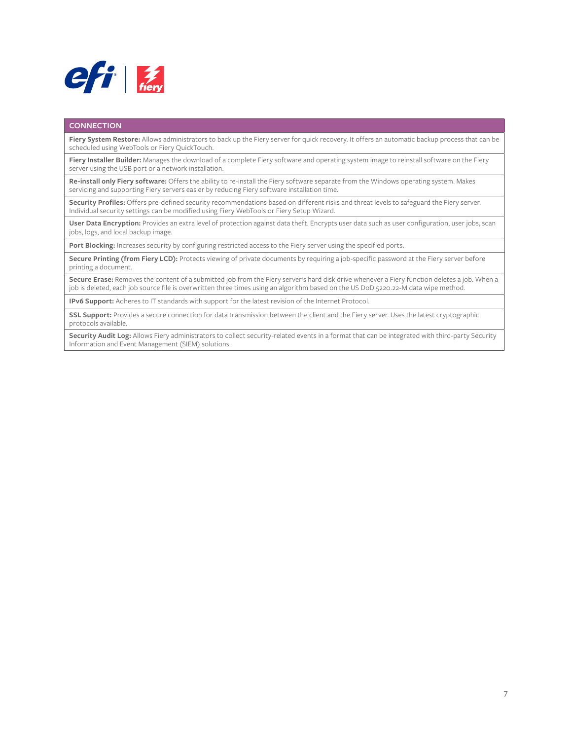

#### **CONNECTION**

**Fiery System Restore:** Allows administrators to back up the Fiery server for quick recovery. It offers an automatic backup process that can be scheduled using WebTools or Fiery QuickTouch.

**Fiery Installer Builder:** Manages the download of a complete Fiery software and operating system image to reinstall software on the Fiery server using the USB port or a network installation.

**Re-install only Fiery software:** Offers the ability to re-install the Fiery software separate from the Windows operating system. Makes servicing and supporting Fiery servers easier by reducing Fiery software installation time.

**Security Profiles:** Offers pre-defined security recommendations based on different risks and threat levels to safeguard the Fiery server. Individual security settings can be modified using Fiery WebTools or Fiery Setup Wizard.

**User Data Encryption:** Provides an extra level of protection against data theft. Encrypts user data such as user configuration, user jobs, scan jobs, logs, and local backup image.

**Port Blocking:** Increases security by configuring restricted access to the Fiery server using the specified ports.

Secure Printing (from Fiery LCD): Protects viewing of private documents by requiring a job-specific password at the Fiery server before printing a document.

**Secure Erase:** Removes the content of a submitted job from the Fiery server's hard disk drive whenever a Fiery function deletes a job. When a job is deleted, each job source file is overwritten three times using an algorithm based on the US DoD 5220.22-M data wipe method.

**IPv6 Support:** Adheres to IT standards with support for the latest revision of the Internet Protocol.

**SSL Support:** Provides a secure connection for data transmission between the client and the Fiery server. Uses the latest cryptographic protocols available.

**Security Audit Log:** Allows Fiery administrators to collect security-related events in a format that can be integrated with third-party Security Information and Event Management (SIEM) solutions.